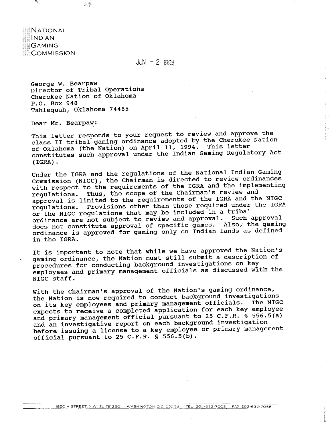

 $JUN - 2 1994$ 

George W. Bearpaw Director of Tribal operations Cherokee Nation of Oklahoma P.O. Box 948 Tahlequah, Oklahoma 74465

 $\frac{1}{2} \sum_{i=1}^{N} \frac{1}{2} \sum_{j=1}^{N} \frac{1}{j}$ 

Dear Mr. Bearpaw:

This letter responds to your request to review and approve the class I1 tribal gaming ordinance adopted by the Cherokee Nation of Oklahoma (the Nation) on April 11, 1994. This letter constitutes such approval under the Indian Gaming Regulatory Act (IGRA) . **第四条理学科** 

Under the IGRA and the regulations of the National Indian Gaming Commission (NIGC), the Chairman is directed to review ordinances with respect to the requirements of the IGRA and the implementing regulations. Thus, the scope of the Chairman's review and approval is limited to the requirements of the IGRA and the NIGC regulations. Provisions other than those required under the IGRA or the NIGC regulations that may be included in a tribal ordinance are not subject to review and approval. Such approval does not constitute approval of specific games. Also; the gaming ordinance is approved for gaming only on Indian lands as defined in the IGRA.

It is important to note that while we have approved the Nation's gaming ordinance, the Nation must still submit a description of procedures for conducting background investigations on key empioyees and primary management officials as discussed with the NIGC staff.

With the Chairman's approval of the Nation's gaming ordinance, the Nation is now required to conduct background investigations on its key employees and primary management officials. The NIGC expects to receive a completed application for each key employee and primary management official pursuant to 25 C.F.R. **5** 556.5(a) and an investigative report on each background investigation before issuing a license to a key employee or primary management official pursuant to 25 C.F.R. **S** 556.5(b).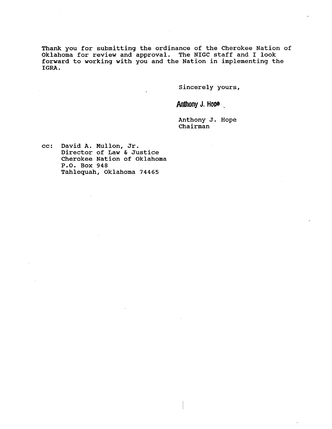Thank you for submitting the ordinance of the Cherokee Nation of Oklahoma for review and approval. The NIGC staff and I look forward to working with you and the Nation in implementing the **IGRA.** 

Sincerely yours,

Anthony J. Hope

Anthony J. Hope Chairman

cc: David A. Mullon, Jr. Director of Law & Justice Cherokee Nation of Oklahoma P.O. Box 948 Tahlequah, Oklahoma 74465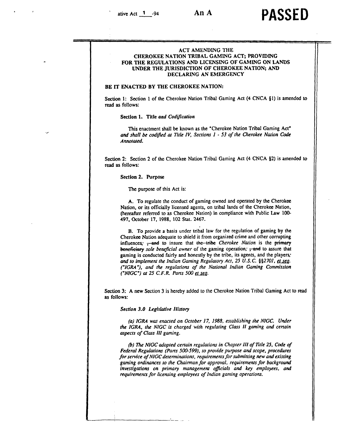# ative Act **1 1 1 94 <b>PASSED**

# ACT AMENDING THE CHEROKEE NATION TRIBAL GAMING ACT; PROVIDING FOR THE REGULATIONS **AND** LICENSING OF GAMING ON LANDS **UNDER THE** JURISDICTION **OF** CHEROKEE NATION; **AND**  DECLARING AN **EMERGENCY**

# **BE IT** ENACTED **BY** THE **CHEROKEE** NATION:

Section **1:** Section 1 of the Cherokee Nation Tribal Gaming Act (4 CNCA *81)* is amended *to*  read **as** follows:

Section 1. Title *and Codification* 

This enactment shall be known as the "Cherokee Nation Tribal Gaming Act' **and** *shall* be *codifed* **cu** *Tirle IV, Sections 1* - *53 of the Cherokee Nation Code Annorored.* 

Section 2: Section *2* of the Cherokee Nation Tribal Gaming Act (4 CNCA *\$2)* is amended to read **as** follows:

**Section 2. Purpose** 

The purpose of this Act is:

**A.** To regulate the conduct of gaming owned and operated by the Cherokee Nation, or its officially licensed agents, on tribal lands of the Cherokee Nation, (hereafter referred to as Cherokee Nation) in compliance with Public Law **100-**  497, **October** 17, 1988, 102 **Stat.** 2467.

B. To provide a basis under tribal law for the regulation of gaming by the Cherokee Nation adequate to shield it from organized crime and other corrupting influences;  $\frac{1}{2}$  and to insure that the tribe *Cherokee Nation* Cherokee Nation adequate to shield it from organized crime and other corrupting influences;  $\frac{1}{2}$  and to insure that the tribe *Cherokee Nation* is the primary beneficiary sole beneficial owner of the gaming operation; gaming is conducted fairly and honestly by the tribe, its agents, and the players; and to implement the Indian Gaming Regulatory Act, 25 U.S.C. §§2701, et seq. *('IGRA\*), and the regularionr of the National Indian Gaming Commission ("NIGC")* at 25 C.F.R. Parts 500 et seq.

Section 3: A new Section 3 is hereby added to the Cherokee Nation Tribal Gaming Act to read **as** follows:

**Section 3.0 Legislative History** 

(a) IGRA was enacted on October 17, 1988, establishing the NIGC. Under *the IGRA, the NIGC is charged with regulating Class 11 gaming* **and** *cenain aspects of Class 111 gaming.* 

(b) The NIGC adopted certain regulations in Chapter III of Title 25, Code of *Federal Regulations (Parts 500-599), to provide purpose and scope, procedures* for service of NIGC determinations, requirements for submitting new and existing gaming ordinances to the Chairman for approval, requirements for background *investigations on primary management oficials and key employees, and*  requirements for licensing employees of Indian gaming operations.

- - - . . . .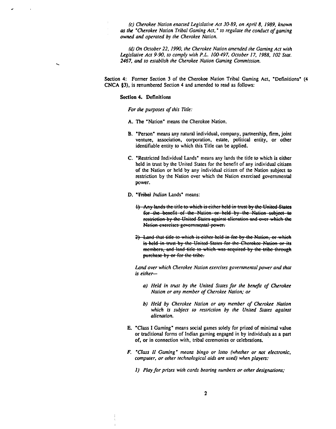*(c) Cherokee Nation enacted Legislative Act 3089, on April 8, 1989, known*  **as** *the 'Cherokee Nation Tribal Gaming Act,' to regulate the conduct of gaming owned and operated by the Cherokee Narion.* 

*(d) On October 22, 1990, the Cherokee Narion amended the Gaming Act with Legislorive Act 9-90, to comply with* **P.L.** *1W497, October 17, 1988, 102 Stat. 2467, and to establish the Cherokee Nation Gaming Commission.* 

Section 4: Former Section 3 of the Cherokee Nation Tribal Gaming Act, 'Definitions' (4 CNCA **#3),** is renumbered Section 4 and amended to read as follows:

#### **Section 4. Definitions**

*For the purposes of this Title:* 

- A. The "Nation" means the Cherokee Nation.
- B. 'Person" means any natural individual, company, partnership, firm, joint venture, association, corporation, estate, political entity, or other identifiable entity to which this Title **can** be applied.
- C. 'Restricted Individual Lands" means any lands the title to which is either held in trust by the United States for the benefit of any individual citizen of the Nation or held by any individual citizen of the Nation subject to restriction by the Nation over which the Nation exercised governmental power.
- **D. "Tribal Indian Lands"** means:
	- 1) Any lands the title to which is either held in trust by the United States for the benefit of the Nation or held by the Nation subject to restriction by the United States against alienation and over which the Nation exercises governmental power.
	- 2) Land that title to which is either held in fee by the Nation, or which is held in trust by the United States for the Cherokee Nation or its members, and land title to which was acquired by the tribe through purchase by or for the tribe.

Land over which Cherokee Nation exercises governmental power and that **is** *either-*

- **a)** *Held in trust by the United Stares for the benefit of Cherokee Nation or any member of Cherokee Narion; or*
- *b) Held by Cherokee Nation or any member of Cherokee Nation which is subject to restriction by the United Stares against alienarion.*
- E. 'Class I Gaming' means social games solely for prized of minimal value or traditional forms of Indian gaming engaged in by individuals as a part of, or in connection with, tribal ceremonies or celebrations.
- *F. 'Class* **11** *Gaming' means bingo or lotlo (whether or not electronic, computer, or other technological aids are used)* when players:
	- **1)** *Play for prizes with cards bearing numbers or other desigmions;*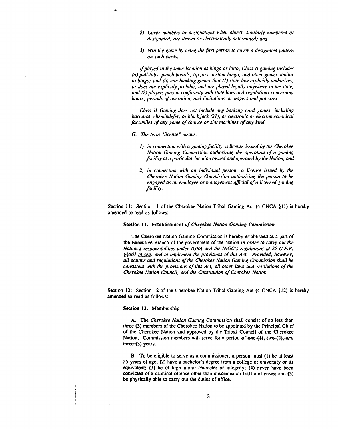- *2) Cover numbers or designarions when object, similarly numbered or designated, are drawn or elecrronically determined; and*
- *3) Win rhe game by being rhe firs1 person to cover a designared patrern on such cards.*

*Ifplayed in the same location* **as** *bingo or lorto, Class* **11** *gaming includes (a) pull-tabs, punch boards, rip jars, instant bingo, and other games similar to bingo; and* (b) *non-banking games thar (I) stare law explicitly aurhorizes, or does not erplicitly prohibir, and are played legally anywhere in the stare;*  and (2) players play in conformity with state laws and regulations concerning *hours, periods of operation, and limitations on wagers and pot sizes.* 

*Class 1I Gaming does nor include any banking card games, including baccarat, chemindefer, or black jack* **(21),** *or electronic or elecrromechanical facsimiles of any game of chance or slot machines of any kind.* 

- *G.* **lk** *term 'license" means:* 
	- *I) in connection with a gaming faciliry, a license issued by rhe Cherokee Nation Gaming Commission authorizing the operation of a gaming faciliry or a panicular locarion owned and operated by rhe Narion; and*
	- *2) in connecrion with an individual person, a license issued by the Cherokee Nation Gaming Commission authorizing the person to be engaged* **ar** *an employee or management oflcial of a licensed gaming facility.*

Section 11: Section 11 of the Cherokee Nation Tribal Gaming Act (4 CNCA  $\S 11$ ) is hereby amended to read **as** follows:

**Section 11.** Establishment **of** *Chemkee Nation Gaming Commission* 

The Cherokee Nation Gaming Commission is hereby established as a part of the Executive Branch of the government of the Nation *in order to carry out the Nation's responsibilities under IGRA and the NIGC's regulations at 25 C.F.R. \$§501 et seq. and to implement the provisions of this Act. Provid Nation* 's *responsibiliries under IGRA and the NIGC's regularions* **or** *25 C. F. R. all acrions* **and** *regularions of rhe Cherokee Naion Gaming Commission shall be consisrent with the provisions of rhis Acr, all orher laws and resolwions of rhe Cherokee Narion Council, and the Constiturion of Cherokee Nation. I)* in connection with a guming facility, a license issued by the Cherokee Nation Guming the operation of the geration of the generation of the and infinite the Cherokee Ration bond and perturbal council of the Cherokee

Section 12: Section 12 of the Cherokee Nation Tribal Gaming Act (4 CNCA §12) is hereby amended to read **as** follows:

## **Section 12.** Membership

**A.** The *Cherokee Nation Gaming* Commission shall consist of no less than three (3) members of the Cherokee Nation to be appointed by the Principal Chief of the Cherokee Nation and approved by the Tribal Council of the Cherokee

B. To be eligible to serve as a commissioner, a person must (1) be at least 25 years of age; (2) have a bachelor's degree from a college or university or **its**  equivalent; (3) be of high moral character or integrity; (4) never have been convicted of a criminal offense other than misdemeanor traffic offenses; and (5) be physically able to **carry** out the duties of office.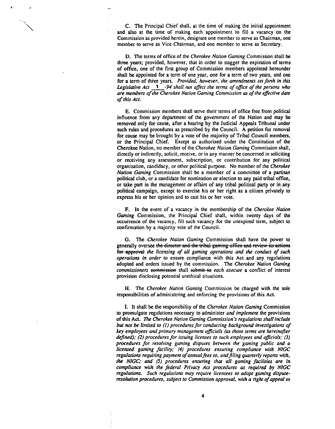C. The Principal Chief shall, at the time of making the initial appointment and also at the time of making each appointment to fill a vacancy on the Commission as provided herein, designate one member to serve as Chairman, one member to serve as Vice Chairman, and one member to serve as Secretary.

D. The terms of office of the *Cherokee Nation Gaming* Commission shall **be**  three years; provided, however, that in order to stagger the expiration of terms of office, one of the first group of Commission members appointed hereunder shall be appointed for a term of one year, one for a term of two years, and one for a term of three years. *Provided, however, the amendmenfs set forth in this Legislative Act* 1 -94 shall not affect the terms of office of the persons who *are members of the Cherokee Narion Gaming Commission as of the effective date of this Act.* 

*E.* Commission members shall serve their terms of office free from political influence from any department of the government of the Nation and may **be**  removed only for cause, after a hearing by the Judicial Appeals Tribunal under such rules and procedures as prescribed by the Council. **A** petition for removal for cause may be brought by a vote of the majority of Tribal Council members, or the Principal Chief. Except as authorized under the Constitution of the Cherokee Nation, no member of the *Cherokee Narion Gaming* Commission shall, directly or indirectly, solicit, receive, or in any manner be concerned in soliciting or receiving any assessment, subscription, or contribution for any political organization, candidacy, or other political purpose. No member of the *Cherokee Nation Gaming* Commission shall *be* a member of a committee of a partisan political club, or a candidate for nomination or election to any paid tribal office, or take part in the management or affairs of any tribal political party or in any political campaign, except to exercise his or her right as a citizen privately to express his or her opinion and to cast his or her vote.

F. In the event of a vacancy in the membership of the *Cherokee Nation Gaming* Commission, the Principal Chief shall, within twenty days of the occurrence of the vacancy, fill such vacancy for the unexpired term, subject to confirmation by a majority vote of the Council.

G. The *Cherokee Nation Gaming* Commission shall have the power to generally oversee the director and the tribal gaming office and review its actions *the licensing of all gaming operarions and the conduct of such operations in order* to ensure compliance with this Act and any regulations adopted and orders issued by the commission. The *Cherokee Nation Gaming commissioners* eommission shall submit to each execute a conflict of interest provision disclosing potential unethical situations.

H. The *Cherokee Nation Gaming* Commission be charged with the sole responsibilities of administering and enforcing the provisions of this Act.

I. It shall **be** the responsibility of the *Cherokee Narion Gaming* Commission *to* promulgate regulations necessary to administer *and implement* the provisions of this Act. The Cherokee Nation Gaming Commission's regulations shall include *but not be limited to (I) procedures for conducting background investigarions of*  key employees and primary management officials (as those terms are hereinafter **defined);** (2) *procedures for issuing licenses to such employees and oflcials: (3) procedures for resolving gaming disputes between the gaming public and a licensed gaming facility; (4) procedures ensuring compliance wirh NIGC*  regulations requiring payment of annual fees to, and filing quarterly reports with, the NIGC; and (5) procedures ensuring that all gaming facilities are in *compliance with the federal Privacy Act procedures* **as** *required by* **NIGC**  *regulations. Such regularions* may *require licensees to adopt gaming dispurc*resolution procedures, subject to Commission approval, with a right of appeal to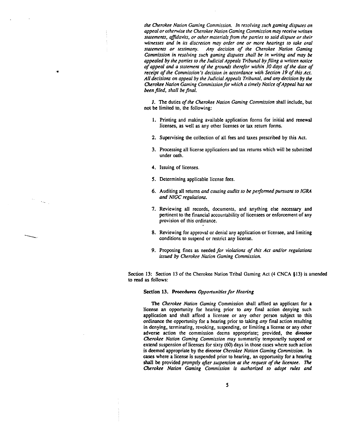*the Cherokee Narion Gaming Commission. In resolving such gaming disputes on appeal or orhenvise rhe Cherokee Narion Gaming Commission* **may** *receive wrirren statements, aJ7davits, or other marerials from rhe ponies to said dispute or their witnesses* **and** *in its discrelion may order one or more hearings to rake oral staremenrs or restimony. Any decision of rhe Cherokee Nation Gaming Commission in resolving such gaming disputes shall be in writing and* **may be**  *appealed by the panies to the Judicial Appeals Tribunal by filing a writren notice of appeal and a sraremeru of rhe growds therefor within 30 days of the dare of receipt of the Commission's decision in accordance with Section 19 of this Act. AN decisions on appeal by the Judicial Appeals Tribunal, and any decision by the Cherokee Nation Gaming Commission for which a timely Norice of Appeal has not been filed, shall be final.* 

J. The duties *of rhe Cherokee Nafion Gaming Commission* shall include, but not be limited to, the following:

- 1. Printing and making available application forms for initial and renewal licenses, as well as any other licenses or tax return forms.
- 2. Supervising the collection of all fees and taxes prescribed by this Act.
- 3. Processing all license applications and **tax** returns which will be submitted under oath.
- 4. Issuing of licenses.

 $\mathcal{A}_{\mathcal{A}}$  .

- 5. Determining applicable license fees.
- 6. Auditing all returns *and causing audits to be performed pursuant ro IGRA and NIGC regulations.*
- 7. Reviewing all records, documents, and anything else necessary and pertinent to the financial accountability of licensees or enforcement of any provision of this ordinance.
- 8. Reviewing for approval or denial any application or licensee, and limiting conditions to suspend or restrict any license.
- 9. Proposing fines as needed *for violarions of this Act and/or regularions issued by Cherokee Nation Gaming Commission.*

Section 13: Section 13 of the Cherokee Nation Tribal Gaming Act (4 CNCA §13) is amended **to** read **as** follows:

## **Section 13. Procedures Opportunities for Hearing**

The *Cherokee Narion Gaming* Commission shall afford an applicant for a license an opportunity for hearing prior to *any* final action denying such application and shall afford a licensee or any other person subject to this ordinance the opportunity for a hearing prior to taking *any* final action resulting in denying, terminating, revoking, suspending, or limiting a license or any other adverse action the commission deems appropriate; provided, the director *Cherokee Nation Gaming Commission* may summarily temporarily suspend or extend suspension of licenses for sixty (60) days in those cases where such action is deemed appropriate by the director *Cherokee Nation Gaming Commission*. In **case.** where a license is suspended prior to hearing, **an** opportunity for a hearing shall be provided *promptly after suspension* **or** *the request of the licensee.* **7hc**  *Ckrokee Narion Gaming Commission is authorized to adopt rules* **and**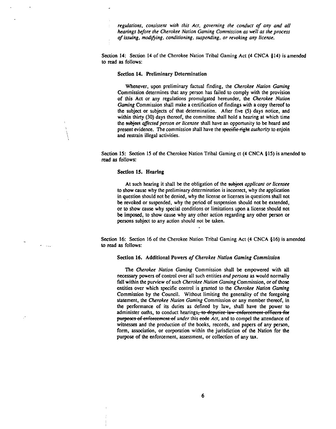*regulations, consisrent wirh this Act, governing the conduct of any and all hearings before the Cherokee Notion Gaming Commission as well as the process of issuing, modthing, conditioning, suspending, or revoking any license.* 

Section 14: Section 14 of the Cherokee Nation Tribal Gaming Act (4 CNCA §14) is amended to read **as** follows:

## Section 14. Preliminary Determination

Whenever, upon preliminary factual finding, the *Cherokee Nation Gaming*  Commission determines that any person has failed to comply with the provision of this Act or any regulations promulgated hereunder, the *Cherokee Nation Gaming* Commission shall make a certification of findings with a copy thereof to the subject or subjects of that determination. After five (5) days notice, and within thirty (30) days thereof, the committee shall hold a hearing at which time the subject *affected person or licensee* shall have an opportunity to be heard and present evidence. The commission shall have the *specific right authority* to enjoin and restrain illegal activities.

Section 15: Section 15 of the Cherokee Nation Tribal Gaming ct (4 CNCA §15) is amended to read **as** follows:

# Section **IS.** Hearing

 $\sim 10^{-11}$ 

At such hearing it shall be the obligation of the subject *applicant or licensee* to show cause why the preliminary determination is incorrect, why the application in question should not be denied, why the license or licenses in questions shall not **be** revoked or suspended, why the period of suspension should not be extended, or to show cause why special conditions or limitations upon a license should not **be** imposed, to show cause why any other action regarding any other person or persons subject to any action should not be taken.

Section 16: Section 16 of the Cherokee Nation Tribal Gaming Act (4 CNCA §16) is amended to read **as** follows:

#### Section 16. Additional Powers *of Cherokee Nation Gaming Commission*

The *Cherokee Nation Gaming* Commission shall *be* empowered with all necessary powers of control over all such entities *and persons* as would normally fall within the purview of such *Cherokee Nation Gaming* Commission, or of those entities over which specific control is granted to the *Cherokee Nation Gaming*  Commission by the Council. Without limiting the generality of the foregoing statement, the *Cherokee Nation Gaming* Commission or any member thereof, in the performance of its duties as defined by law, shall have the power to administer oaths, to conduct hearings<del>, to deputize law enforcement officers for</del> **purposes of enforcement of** *under* this eode Act, and to compel the attendance of **witnesses** and the production of the books, records, and papers of any person, form, association, or corporation within the jurisdiction of the Nation for the purpose of the enforcement, assessment, or collection of any **tax.**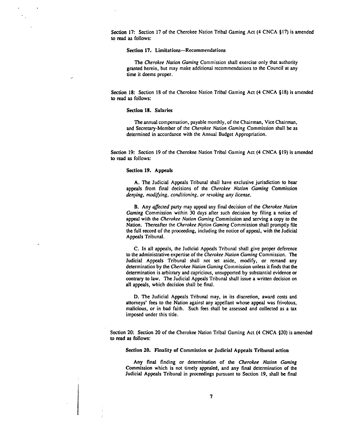Section 17: Section 17 of the Cherokee Nation Tribal Gaming Act (4 CNCA §17) is amended to read **as** follows:

## Section 17. Limitations-Recommendations

The *Cherokee Norion Gaming* Commission shall exercise only that authority granted herein, but may make additional recommendations to the Council at any time it deems proper.

Section 18: Section 18 of the Cherokee Nation Tribal Gaming Act (4 CNCA §18) is amended to read **as** follows:

## Sectlon 18. Salaries

The annual compensation, payable monthly, of the Chairman, Vice Chairman, and Secretary-Member of the *Cherokee Nafion Gaming* Commission shall *be* as determined in accordance with the Annual Budget Appropriation.

Section 19: Section 19 of the Cherokee Nation Tribal Gaming Act (4 CNCA \$19) is amended to read **as** follows:

# Section **19. Appeals**

**A,** The Judicial Appeals Tribunal shall have exclusive jurisdiction to hear appeals from final decisions of the *Cherokee Narion Gaming* Commission denying, modifying, conditioning, or revoking any license.

B. Any *affected* party may appeal any final decision of the *Cherokee Nation Gaming* Commission within 30 days after such decision by filing a notice of appeal with **he** Cherokee *Nation Gaming* Commission and serving a copy to the Nation. Thereafter the *Cherokee Nation Gaming Commission shall promptly file* the full record of the proceeding, including the notice of appeal, with the Judicial Appeals Tribunal.

C. In all appeals, the Judicial Appeals Tribunal shall give proper deference to the administrative expertise of the *Cherokee Narion Gaming* Commission. The Judicial Appeals Tribunal shall not set aside, modify, or remand any determination by the *Cherokee Narion Gaming* Commission unless it finds that the determination is arbitrary and capricious, unsupported by substantial evidence or contrary to law. The Judicial Appeals Tribunal shall issue a written decision on all appeals, which decision shall be final.

D. The Judicial Appeals Tribunal may, in its discretion, award costs and attorneys' fees to the Nation against any appellant whose appeal was frivolous, malicious, or in bad faith. Such fees shall be assessed and collected as a **tax**  imposed under this title.

Section 20: Section 20 of the Cherokee Nation Tribal Gaming Act (4 CNCA 820) is amended **to** read **as** follows:

Sectlon 20. Finality of Commission or Judicial **Appeals** Tribunal action

Any final finding or determination of the *Cherokee Nation Gaming*  Commission which is not timely appealed, and any final determination of the Judicial Appeals Tribunal in proceedings pursuant to Section **19,** shall be final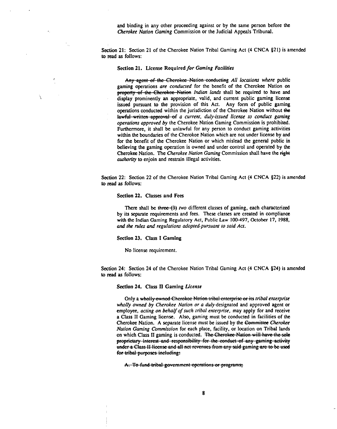and binding in any other proceeding against or by the same person before the Cherokee Nation Gaming Commission or the Judicial Appeals Tribunal.

Section 21: Section 21 of the Cherokee Nation Tribal Gaming Act (4 CNCA 821) is amended **to** read **as** follows:

## Section 21. License Required for Gaming Facilities

Any agent of the Cherokee Nation conducting All locations where public gaming operations are conducted for the benefit of the Cherokee Nation on Section 21. License Required for Gaming Facilities<br>
Any agent of the Cherokee Nation conducting All locations where public<br>
gaming operations are conducted for the benefit of the Cherokee Nation on<br>
property of the Cheroke display prominently an appropriate, valid, and current public gaming license issued pursuant to the provision of this Act. Any form of public gaming operations conducted within the jurisdiction of the Cherokee Nation without **tke**  lawful written approval of a current, duly-issued license to conduct gaming operations approved by the Cherokee Nation Gaming Commission is prohibited. Furthermore, it shall be unlawful for any person to conduct gaming activities within the boundaries of the Cherokee Nation which are not under license by and for the benefit of the Cherokee Nation or which mislead the general public in believing the gaming operation is owned and under control and operated by the Cherokee Nation. The Cherokee Nation Gaming Commission shall have the **fight**  authority to enjoin and restrain illegal activities. They prominently an appropriate, valid, and current public gaming license.<br>
They prominently an approximate of this Act. Any form of public gaming license<br>
ratio are determined within the jurisdiction of the Cherckee Natio

Section 22: Section 22 of the Cherokee Nation Tribal Gaming Act (4 CNCA \$22) is amended **to** read **as** follows:

#### Section 22. **Classes and Fees**

Ń

There shall be three  $(3)$  two different classes of gaming, each characterized by its separate requirements and fees. These classes are created in compliance with the Indian Gaming Regulatory **Act,** Public Law 100-497, October 17, 1988, and the rules and regulations adopted pursuant to said Act.

# Section 23. **Class** I **Gaming**

No license requirement.

Section 24: Section 24 of the Cherokee Nation Tribal Gaming Act (4 CNCA §24) is amended **to** read **as** follows:

#### Section 24. **Class Il Gaming** License

wholly owned by Cherokee Nation or a duly-designated and approved agent or employee, acting on behalf of such tribal enterprise, may apply for and receive a Class **I1** Gaming license. Also, gaming must **be** conducted in facilities of the Cherokee Nation. A separate license must be issued by the Committee Cherokee Nation Gaming Commission for each place, facility, or location on Tribal lands on which Class II gaming is conducted. The Cherokee Nation will have the sole Section 22. Classes ano rees<br>
There shall be three-(43) two different classes of gaming, each characterized<br>
The reshall be three-(43) two different and fees. These classes are created in compliance<br>
with the Indian Gaming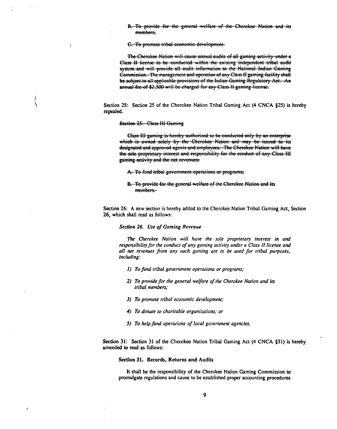B. To provide for the general welfare of the Cherokee Nation and its members:

C. To promote tribal economic development.

The Cherokee Nation will cause annual audits of all gaming activity under a Class II license to be conducted within the existing independent tribal audit system and will provide all audit information to the National Indian Gamine Commission. The management and operation of any Class II gaming facility shall be subject to all applicable provisions of the Indian Gaming Regulatory Act. An annual fee of \$2,500 will be charged for any Class II gaming license.

Section 25: Section 25 of the Cherokee Nation Tribal Gaming Act **(4** CNCA **925)** is hereby repealed.

#### Section 25. Class III Gaming

 $\ddot{\cdot}$ 

Class-III gaming is hereby authorized to be conducted only by an enterprise which is owned solely by the Cherokee Nation and may be issued to its designated and approved agents and employees. The Cherokee Nation will have the sole proprietary interest and responsibility for the conduct of any Class III gaming activity and the net revenues.

A. To fund tribal government operations or programs;

B. To provide for the general welfare of the Cherokee Nation and its members.-

Section 26: **A** new section is hereby added to the Cherokee Nation Tribal Gaming Act, Section 26, which shall read as follows:

# *Section 26. Use* **of** *Gaming Revenue*

'Ihe *Cherokee Nation* **will** *have rhe sole proprierary inreresr in* **and**  *responsibiliry for rhe conducr of any gaming acriviry under a Class* **I1** *license and all* **net** *revenues porn any such gaming are to be used for rribal puposes, including:* 

- **1)** *To fund rribal government operaions or programs;*
- *2) To provide for the general welfare of the Cherokee Nation and its tribal members;*
- *3) To prornore rribal economic developrnenr;*
- 4) To donate to charitable organizations; or
- *5) To help fund operaions of local govemmenr agencies.*

Section 31: Section 31 of the Cherokee Nation Tribal Gaming Act **(4** CNCA **\$31)** is hereby amended **to** read as follows:

## **Section 31. Records, Returns and Audits**

It shall be the responsibility of the Cherokee Nation Gaming Commission to promulgate regulations and cause to be established proper accounting procedures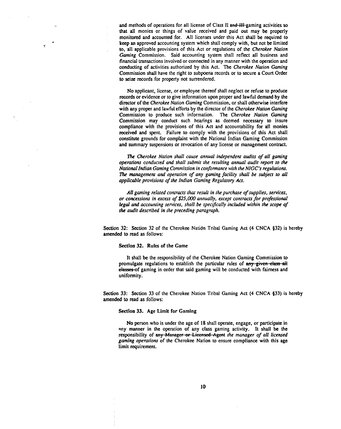and methods of operations for all license of Class II and III gaming activities so that all monies or things of value received and paid out may be properly monitored and accounted for. All licenses under this Act shall **be** required to **keep** an approved accounting system which shall comply with, but not be limited to, all applicable provisions of this Act or regulations of the *Cherokee Nation Gaming* Commission. Said accounting system shall reflect all business and financial transactions involved or connected in any manner with the operation and conducting of activities authorized by this Act. The *Cherokee Nuion Gaming*  Commission shall have the right to subpoena records or to secure a Court Order to seize records for property not surrendered.

No applicant, license, or employee thereof shall neglect or refuse to produce records or evidence or to give information upon proper and lawful demand by the director of the *Cherokee Nation Gaming* Commission, or shall otherwise interfere with any proper and lawful efforts by the director of the *Cherokee Nation Gaming*  Commission to produce such information. The *Cherokee Nation Gaming*  Commission may conduct such hearings as deemed necessary to insure compliance with the provisions of this Act and accountability for all monies received and spent. Failure to comply with the provisions of this Act shall constitute grounds for complaint with the National Indian Gaming Commission and summary suspensions or revocation of any license or management contract.

**l%e** *Cherokee Nation shall cause annual independent audits of all gaming operations conducred and shall submit the resulting annual audit repon to the National Indian Gaming Commission in conformance with the NIGC's regulations.*  The management and operation of any gaming facility shall be subject to all *applicable provisions of the Indian Gaming Regulatory Act.* 

*All gaming related contracts thar result in the purchase of supplies, services, or concessions in excess of* **\$25,CKX)** *annually, except contracts for professional legal and accounting services, shall be specifcally included within the scope of the audit described in the preceding paragraph.* 

Section 32: Section **32** of the Cherokee Nati6n Tribal Gaming Act (4 CNCA **832)** is hereby amended to read as follows:

## **Section** 32. Rules of the Game

It shall be the responsibility of the Cherokee Nation Gaming Commission to promulgate regulations to establish the particular rules of any given class all elasses of gaming in order that said gaming will be conducted with fairness and uniformity.

Section 33: Section **33** of the Cherokee Nation Tribal Gaming Act (4 CNCA **833)** is hereby amended to read as follows:

# **Section** 33. Age **Limit** for Gaming

No person who is under the age of 18 shall operate, engage, or participate in any manner in the operation of any class gaming activity. It shall be the responsibility of any Manager or Licensed Agent the manager of all licensed Legal and accounting services, shall be specifically included within the scope of<br>the audit described in the preceding paragraph.<br>32: Section 32 of the Cherokee Nation Tribal Gaming Act (4 CNCA §32) is hereby<br>33: Section 3 *gaming operations* of the Cherokee Nation to ensure compliance with this age Limit requirement.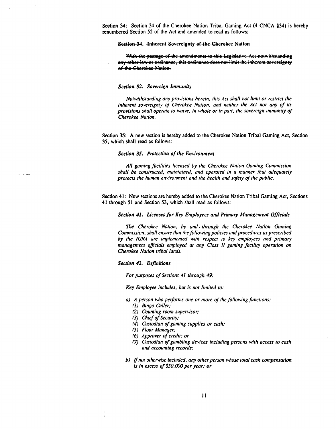Section 34: Section **34** of the Cherokee Nation Tribal Gaming Act (4 CNCA **434)** is hereby renumbered Section 52 of the Act and amended to read as follows:

#### Section 34. Inherent Sovereignty of the Cherokee Nation

With the passage of the amendments to this Legislative Act notwithstanding any other law or ordinance, this ordinance does not limit the inherent sovereignty of the Cherokee Nation.

#### **Section 52. Sovereign Immunity**

*Notwithstanding any provisions herein, this Act shall not limit or restrict the* inherent sovereignty of Cherokee Nation, and neither the Act nor any of its *provisions shall operare to waive, in whole or in pan, the sovereign immunity of Cherokee Nation.* 

Section 35: **A** new section is hereby added to the Cherokee Nation Tribal Gaming Act, Section 35, which shall read as follows:

## *Section 35. Protection of the Environment*

*AN gaming faciliries licensed by rhe Cherokee Narion Gaming Commission shall be consrrucred, mairuained, and operated in a manner that adequarely protects the human environment and rhe healrh and safely of the public.* 

Section 41: New sections are hereby added to the Cherokee Nation Tribal Gaming Act, Sections 41 through 51 and Section 53, which shall read as follows:

#### **Section 41. Licenses for Key** *Employees and Primary Management Officials*

% *Cherokee Nation, by and* - *through the Cherokee Narion Gaming Commission, shall ensure that rhe following policies and procedures as prescribed by the IGRA are implemerued wirh respect ro key employees and primary management oflcials employed at any Class 11 gaming facility operation on Cherokee Nation tribal landr.* 

#### *Section 42. Definitions*

*For purposes of Secrions* **41** *rhrough* **49:** 

**Key** *Employee includes, bur is nor limited lo:* 

- *a) A person who pefonns one or more of rhe following functions:* 
	- **(1)** *Bingo Caller;*
	- **(2)** *Counting room supervisor;*
	- *(3) Chief of Securiry;*
	- **(4)** *Custodian of gaming supplies or cash;*
	- *(5) Floor Manager;*
	- *(6) Approver of credit; or*
	- f7) *Custodian* **of** *gambling devices including persons wirh access to cash and accounting records;*
- *b) If not otherwise included, any other person whose total cash compensation is in excess of \$50,00Oper year; or*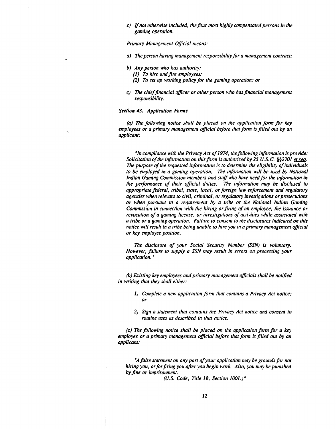*C) Jfnot otherwise included, the four most highly compensated persons in the gaming operation.* 

**Primary Management Official means:** 

- a) The person having management responsibility for a management contract;
- *b) Any person who has authority:* 
	- *(1)* To hire and fire employees;
	- (2) *To set up working policy for the gaming operation; or*
- *C)* **lk** *chieffinancial oflcer or oiher person who has financial management responsibility.*

## *Section 43. Application Fonns*

*(a)* **7?w** *following notice shall be placed on the application fonn for key employees or a primary management oflcial before that form is filled out by* **an**  *applicant:* 

*'In compliance with the Privacy Act of 1974, the following infonnation is provide:*  **Solicitation of the information on this form is authorized by 25 U.S.C. §§2701 et seq.** The purpose of the requested information is to determine the eligibility of individuals to be employed in a gaming operation. The information will be used by National *Indian Gaming Commission members and staff who have need for the information in the performance of their oflcial duties.* **7le** *information* may *be disclosed to appropriate federal, iribal, store, local, or foreign law enforcement and regulatory agencies when relevant io civil, criminal, or regulatory investigations or prosecutions or when pursuanr to* **a** *requirement by a tribe or the National Indian Gaming Commission in connection with the hiring or firing of an employee, the issuance or reyocation of a gaming license, or investigations of activities while associated with a tribe or a gaming operation. Failure to consent to the disclosures indicared on this notice will resuli in a tribe being unable to hire you in a primary management oficial or* **key** *employee position.* 

**l%e** *disclosure of your Social Securiry Number (SSN) is voluntary. However, failure to supply a SSN may result in errors on processing your application.* '

*(b) Existing key employees and primary management oflcials shall be notified in writing ihat they shall eiihec* 

- *I) Complete a new application fonn that contains a Privacy Act notice; or*
- *2) Sign a statement that conrains the Privacy Act noiice and consent to routine uses as described in that notice.*

*(c)* **l%e** *following notice shall be placed on the application form for a* **key**  *employee or a primary managernew oflcial before ihat fonn is filled ow by* **an**  *applicant:* 

<sup>*A false statement on any part of your application may be grounds for not*</sup> *hiring you, or forfiring you aper you begin work. Also, you may be punished*  **by** *fine or imprisonment.* 

*(U.S. Code. Tirle* **18,** *Section 1001.)'*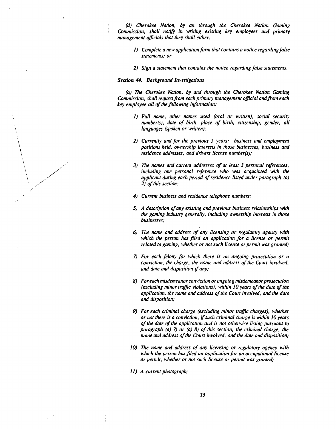*(d) Cherokee Nation. by an through the Cherokee Nation Gaming Commission, shall notify in writing existing key employees and primary management oflcials thar rhey shall either:* 

- *1) Complete a new applicarion fonn that contains a notice reganling false statements; or*
- *2) Sign a staremew that contains the notice regarding false statements.*

#### *Sechbn* **44** *Background Investigations*

*(a)* **lk** *Cherokee Nation, by and through the Cherokee Narion Gaming Commission, shall request from each primary mamgemenr oflcial andfrom each*  key *employee all of (he following information:* 

- *1) Full name, other names used (oral or written), social security numberfs), dare of binh, place of binh, citizenship, gender, all languages (spoken or written);*
- *2) Currently and for the previous 5 years: business and employment positions held, ownership inrerests in those businesses, business and residence addresses, and dn'vers license numberfs);*
- *3) nte names and currenr addresses of ar least 3 personal references, including one personal reference who was acquainred with the applicant during each period of residence lisred under paragraph (a) 2) of this section;*
- *4) Current business and residence telephone numbers;*
- *5) A description of any existing and previous business relarionships with rhe gaming industry generally, including ownership interests in rhose businesses;*
- *6)* **The** *name and address of any licensing or regulatory agency wirh*  which the person has filed an application for a license or permit *related ro gaming, whether or not such license or pennit was granted;*
- *7) For each felony for which there is an ongoing prosecwion or a conviction, the charge, the name and address of the Coun involved, and dare and disposition if any..*
- *8) For each misdemeanor conviction or ongoing misdemeanor prosecution (excluding minor traflc violations), within 10 years of the date of rhe application, the name and address of rhe Coun involved, and the dare and disposition;*
- *9) For each criminal charge (excluding minor traJic charges), whether or not there is a conviction, ifsuch criminal charge is wirhin 10 years of the dare ofthe application and is not orhenvise listing pursuant to paragraph (a) 7) or (a) 8) of this section, the criminal charge, the*  **name** *and address of the Court involved, and the date and disposition;*
- *10)* **The** *name and address of any licensing or regulatory agency with*  which the person has filed an application for an occupational license *or permir, whether or nor such license or permit was granred;*
- *I I) A current photograph;*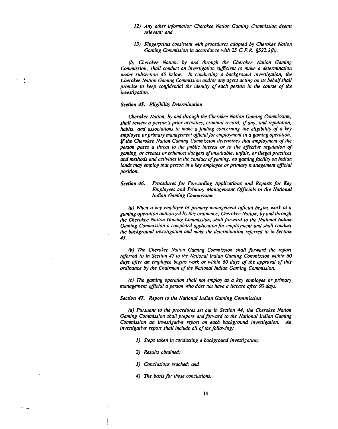- 12) Any other information Cherokee Nation Gaming Commission deems *relevant; and*
- 13) Fingerprints consistent with procedures adopted by Cherokee Nation *Gaming Commission in accordance with 25 C. F. R. 8522.2fi).*

*(h) Cherokee Nation, by and through the Cherokee Nation Gaming Commission, shall conduct an investigation suficient to make a determination under subsection 45 below. In conducting a background investigation, the Ckrokee Nation Gaming Commission and/or any agent acting on its behal/shall promise to keep conjdential the identiry of each person in the course of the investigation.* 

#### *Seerion 45. Eligibility Detenninarion*

 $\sigma = \frac{1}{3}$ 

 $\sim$  10

*&rokee Nation, by and through the Cherokee Nation Gaming Commission, shall review a person's prior activities, criminal record, if any, and reputation, habits, and associaions to make a finding concerning the eligibility of a key employee or primary management oficial for employment in a gaming operation.*  **If** *the Cherokee Nation Gaming Commission determines that employment of the person poses a threat to the public interest or to the eflective regulation of gaming, or creates or enhances dangers of unsuitable, unfair, or illegal practices and methods and activities in the conduct of gaming, no gaming facility on Indian lands may employ that person in a key employee or primary management official position.* 

# *Section 46. Pmcedures for Forwarding Applications and Reporls for Key Employees and Primary Management Officials to the National Indian Gaming Commission*

*(a) Wkn a key employee or primary management oflcial begins work* **at** *a gaming operation authorized by this ordinance, Cherokee Nation, by and through the Cherokee Nation Gaming Commission, shall forward to the Narional Indian Gaming Commission a completed application for employment and shall conduct the background investigation and make the determination referred to in Section 45.* 

*(b)* rite *Cherokee Nation Gaming Commission shall forward the repon referred to in Section 47 to the National Indian Gaming Commission within 60*  **days** *offer an employee begins work or within 60 days of the approval of this ordinance by the Chairman of the National Indian Gaming Commission.* 

*(c)* **lh?** *gaming operation shall nor employ as a key employee or primary management oflcial a person who does nor have* **a** *license afer* **90** *days.* 

## *Seerion 47. Reporl to the National Indian Gaming Commission*

(a) Pursuant to the procedures set out in Section 44, the Cherokee Nation *Gaming Commission shall prepare and forward to the National Indian Gaming Commission an investigative repon on each background investigation. An investigative repon shall include all of the following:* 

- *1) Steps taken in conducting a background investigation;*
- *2) Results obtained;*
- *3) Conclusions reached; and*
- 4) The basis for those conclusions.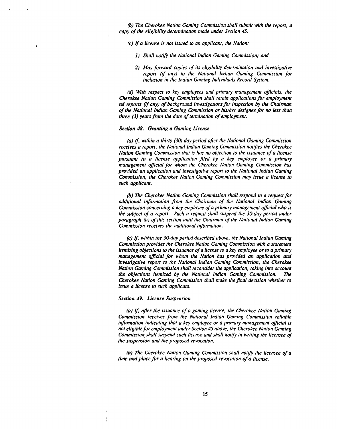*(b) ne Cherokee Narion Gaming Commission shall submit with the repon, a copy of the eligibility derenninarion made under Secrion 45.* 

*(c) Ifa license is nor issued ro an applicant, the Narion:* 

- **1)** *Shall notfi rhe National Indian Gaming Commission; and*
- *2) May forward copies of its eligibility derenninarion and investigative repon* **(if** *any) to rhe Narional lndian Gaming Commission for inclusion in the Indian Gaming Individuals Record System.*

*(d) With respect to key employees and primary management oflcials, the Cherokee Narion Gaming Commission shall retain applicarions for employment*  **nd** *reports (if any) of background invesrigations for inspection by the Chairman*  of the National Indian Gaming Commission or his/her designee for no less than *three (3) years from the date of termination of employment.* 

#### *Sechn 48. Gmnting a* **Gaming** *License*

÷

*(a) If, within a thirty (30) day period afrer the Narionai Gaming Commission receives a repon, the National Indian Gaming Commission norijies the Cherokee Nation Gaming Commission that is has no objection ro rhe issuance of a license pursuant to a license applicarion filed by a key employee or a primary management oflcial for whom rhe Cherokee Nation Gaming Commission* **hos**  *provided an application and investigative report to the National Indian Gaming Commission, the Cherokee Narion Gaming Commission may issue a license to such applicant.* 

**(b)** The Cherokee Nation Gaming Commission shall respond to a request for *&itional irlfonnarion from the Chainnan of the Narional lndian Gaming Commission concerning a* key *employee of a primary management oflcial who* **is**  *the subject of a repon. Such a request shall suspend the 30-day period under paragraph (a) of this secrion unril the Chainnan of rhe Narional lndian Gaming Commission receives the additional information.* 

*(c) If, wirhin the 30-day period described above, rhe National Indian Gaming Commission provides the Cherokee Nation Gaming Commission with a starement itemizing objecrions to the issuance of a license to a key employee or to a primary managemeru oflciol for whom the Nation has provided an applicarion and investigative repon to the National Indian Gaming Commission, the Cherokee Nation Gaming Commission shall reconsider the application, raking into account the objections itemized by rhe Narional Indian Gaming Commission.* **The**  *Cherokee Nation Gaming Commission shall make the final decision whether to issue a license to such applicant.* 

#### *Section 49. License Suspension*

**(a)** *If, afer the issuance of a gaming license, the Cherokee Narion Gaming Commission receives from the National Indian Gaming Commission reliable infom'on indicaring that a* key *employee or a primary management oficial is not eligible for employment under Section 45 above, the Cherokee Narion Gaming Commission, shall suspend such license and shall no113 in wriring the licensee of the suspension and the proposed revocation.* 

*(b) me Cherokee Narion Gaming Commission shall norib the licensee of a*  **rime** *ond place for a hearing on the proposed revocation of a license.*